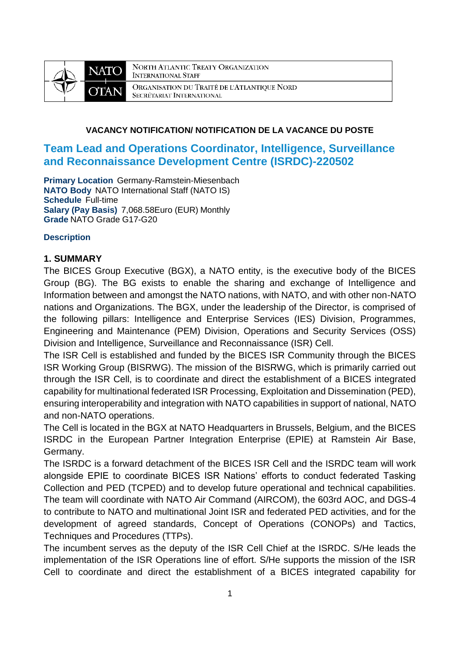

NORTH ATLANTIC TREATY ORGANIZATION **INTERNATIONAL STAFF** ORGANISATION DU TRAITÉ DE L'ATLANTIQUE NORD SECRÉTARIAT INTERNATIONAL

## **VACANCY NOTIFICATION/ NOTIFICATION DE LA VACANCE DU POSTE**

# **Team Lead and Operations Coordinator, Intelligence, Surveillance and Reconnaissance Development Centre (ISRDC)-220502**

**Primary Location** Germany-Ramstein-Miesenbach **NATO Body** NATO International Staff (NATO IS) **Schedule** Full-time **Salary (Pay Basis)** 7,068.58Euro (EUR) Monthly **Grade** NATO Grade G17-G20

### **Description**

### **1. SUMMARY**

The BICES Group Executive (BGX), a NATO entity, is the executive body of the BICES Group (BG). The BG exists to enable the sharing and exchange of Intelligence and Information between and amongst the NATO nations, with NATO, and with other non-NATO nations and Organizations. The BGX, under the leadership of the Director, is comprised of the following pillars: Intelligence and Enterprise Services (IES) Division, Programmes, Engineering and Maintenance (PEM) Division, Operations and Security Services (OSS) Division and Intelligence, Surveillance and Reconnaissance (ISR) Cell.

The ISR Cell is established and funded by the BICES ISR Community through the BICES ISR Working Group (BISRWG). The mission of the BISRWG, which is primarily carried out through the ISR Cell, is to coordinate and direct the establishment of a BICES integrated capability for multinational federated ISR Processing, Exploitation and Dissemination (PED), ensuring interoperability and integration with NATO capabilities in support of national, NATO and non-NATO operations.

The Cell is located in the BGX at NATO Headquarters in Brussels, Belgium, and the BICES ISRDC in the European Partner Integration Enterprise (EPIE) at Ramstein Air Base, Germany.

The ISRDC is a forward detachment of the BICES ISR Cell and the ISRDC team will work alongside EPIE to coordinate BICES ISR Nations' efforts to conduct federated Tasking Collection and PED (TCPED) and to develop future operational and technical capabilities. The team will coordinate with NATO Air Command (AIRCOM), the 603rd AOC, and DGS-4 to contribute to NATO and multinational Joint ISR and federated PED activities, and for the development of agreed standards, Concept of Operations (CONOPs) and Tactics, Techniques and Procedures (TTPs).

The incumbent serves as the deputy of the ISR Cell Chief at the ISRDC. S/He leads the implementation of the ISR Operations line of effort. S/He supports the mission of the ISR Cell to coordinate and direct the establishment of a BICES integrated capability for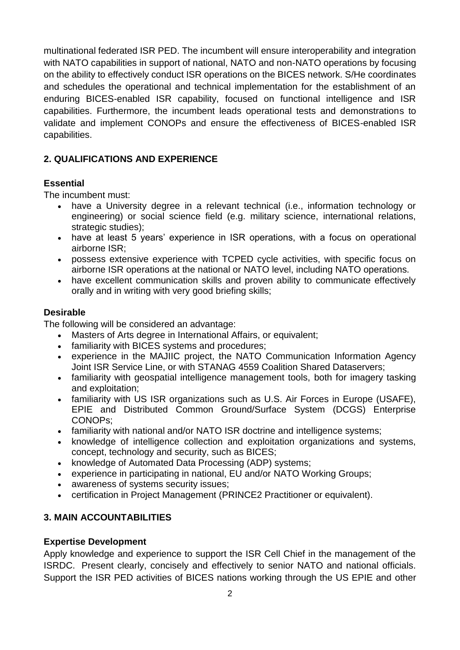multinational federated ISR PED. The incumbent will ensure interoperability and integration with NATO capabilities in support of national, NATO and non-NATO operations by focusing on the ability to effectively conduct ISR operations on the BICES network. S/He coordinates and schedules the operational and technical implementation for the establishment of an enduring BICES-enabled ISR capability, focused on functional intelligence and ISR capabilities. Furthermore, the incumbent leads operational tests and demonstrations to validate and implement CONOPs and ensure the effectiveness of BICES-enabled ISR capabilities.

# **2. QUALIFICATIONS AND EXPERIENCE**

# **Essential**

The incumbent must:

- have a University degree in a relevant technical (i.e., information technology or engineering) or social science field (e.g. military science, international relations, strategic studies):
- have at least 5 years' experience in ISR operations, with a focus on operational airborne ISR;
- possess extensive experience with TCPED cycle activities, with specific focus on airborne ISR operations at the national or NATO level, including NATO operations.
- have excellent communication skills and proven ability to communicate effectively orally and in writing with very good briefing skills;

### **Desirable**

The following will be considered an advantage:

- Masters of Arts degree in International Affairs, or equivalent:
- familiarity with BICES systems and procedures;
- experience in the MAJIIC project, the NATO Communication Information Agency Joint ISR Service Line, or with STANAG 4559 Coalition Shared Dataservers;
- familiarity with geospatial intelligence management tools, both for imagery tasking and exploitation;
- familiarity with US ISR organizations such as U.S. Air Forces in Europe (USAFE), EPIE and Distributed Common Ground/Surface System (DCGS) Enterprise CONOPs;
- familiarity with national and/or NATO ISR doctrine and intelligence systems;
- knowledge of intelligence collection and exploitation organizations and systems, concept, technology and security, such as BICES;
- knowledge of Automated Data Processing (ADP) systems;
- experience in participating in national, EU and/or NATO Working Groups;
- awareness of systems security issues;
- certification in Project Management (PRINCE2 Practitioner or equivalent).

# **3. MAIN ACCOUNTABILITIES**

## **Expertise Development**

Apply knowledge and experience to support the ISR Cell Chief in the management of the ISRDC. Present clearly, concisely and effectively to senior NATO and national officials. Support the ISR PED activities of BICES nations working through the US EPIE and other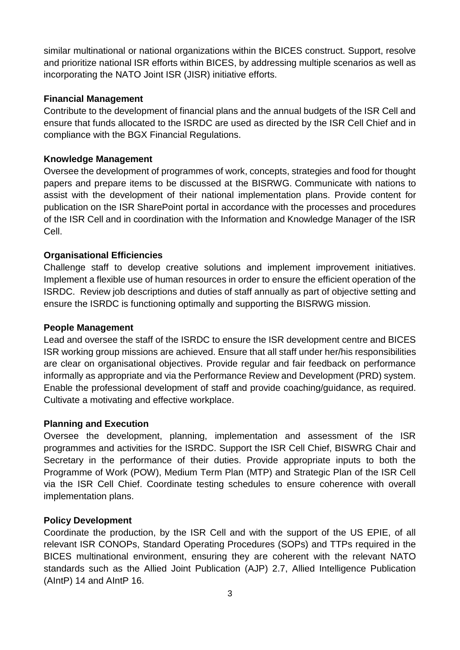similar multinational or national organizations within the BICES construct. Support, resolve and prioritize national ISR efforts within BICES, by addressing multiple scenarios as well as incorporating the NATO Joint ISR (JISR) initiative efforts.

## **Financial Management**

Contribute to the development of financial plans and the annual budgets of the ISR Cell and ensure that funds allocated to the ISRDC are used as directed by the ISR Cell Chief and in compliance with the BGX Financial Regulations.

## **Knowledge Management**

Oversee the development of programmes of work, concepts, strategies and food for thought papers and prepare items to be discussed at the BISRWG. Communicate with nations to assist with the development of their national implementation plans. Provide content for publication on the ISR SharePoint portal in accordance with the processes and procedures of the ISR Cell and in coordination with the Information and Knowledge Manager of the ISR Cell.

## **Organisational Efficiencies**

Challenge staff to develop creative solutions and implement improvement initiatives. Implement a flexible use of human resources in order to ensure the efficient operation of the ISRDC. Review job descriptions and duties of staff annually as part of objective setting and ensure the ISRDC is functioning optimally and supporting the BISRWG mission.

#### **People Management**

Lead and oversee the staff of the ISRDC to ensure the ISR development centre and BICES ISR working group missions are achieved. Ensure that all staff under her/his responsibilities are clear on organisational objectives. Provide regular and fair feedback on performance informally as appropriate and via the Performance Review and Development (PRD) system. Enable the professional development of staff and provide coaching/guidance, as required. Cultivate a motivating and effective workplace.

#### **Planning and Execution**

Oversee the development, planning, implementation and assessment of the ISR programmes and activities for the ISRDC. Support the ISR Cell Chief, BISWRG Chair and Secretary in the performance of their duties. Provide appropriate inputs to both the Programme of Work (POW), Medium Term Plan (MTP) and Strategic Plan of the ISR Cell via the ISR Cell Chief. Coordinate testing schedules to ensure coherence with overall implementation plans.

## **Policy Development**

Coordinate the production, by the ISR Cell and with the support of the US EPIE, of all relevant ISR CONOPs, Standard Operating Procedures (SOPs) and TTPs required in the BICES multinational environment, ensuring they are coherent with the relevant NATO standards such as the Allied Joint Publication (AJP) 2.7, Allied Intelligence Publication (AIntP) 14 and AIntP 16.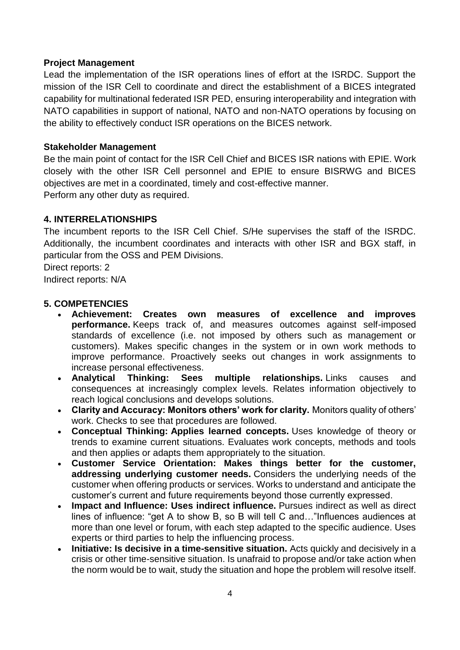## **Project Management**

Lead the implementation of the ISR operations lines of effort at the ISRDC. Support the mission of the ISR Cell to coordinate and direct the establishment of a BICES integrated capability for multinational federated ISR PED, ensuring interoperability and integration with NATO capabilities in support of national, NATO and non-NATO operations by focusing on the ability to effectively conduct ISR operations on the BICES network.

# **Stakeholder Management**

Be the main point of contact for the ISR Cell Chief and BICES ISR nations with EPIE. Work closely with the other ISR Cell personnel and EPIE to ensure BISRWG and BICES objectives are met in a coordinated, timely and cost-effective manner. Perform any other duty as required.

# **4. INTERRELATIONSHIPS**

The incumbent reports to the ISR Cell Chief. S/He supervises the staff of the ISRDC. Additionally, the incumbent coordinates and interacts with other ISR and BGX staff, in particular from the OSS and PEM Divisions.

Direct reports: 2 Indirect reports: N/A

# **5. COMPETENCIES**

- **Achievement: Creates own measures of excellence and improves performance.** Keeps track of, and measures outcomes against self-imposed standards of excellence (i.e. not imposed by others such as management or customers). Makes specific changes in the system or in own work methods to improve performance. Proactively seeks out changes in work assignments to increase personal effectiveness.
- **Analytical Thinking: Sees multiple relationships.** Links causes and consequences at increasingly complex levels. Relates information objectively to reach logical conclusions and develops solutions.
- **Clarity and Accuracy: Monitors others' work for clarity.** Monitors quality of others' work. Checks to see that procedures are followed.
- **Conceptual Thinking: Applies learned concepts.** Uses knowledge of theory or trends to examine current situations. Evaluates work concepts, methods and tools and then applies or adapts them appropriately to the situation.
- **Customer Service Orientation: Makes things better for the customer, addressing underlying customer needs.** Considers the underlying needs of the customer when offering products or services. Works to understand and anticipate the customer's current and future requirements beyond those currently expressed.
- **Impact and Influence: Uses indirect influence.** Pursues indirect as well as direct lines of influence: "get A to show B, so B will tell C and…"Influences audiences at more than one level or forum, with each step adapted to the specific audience. Uses experts or third parties to help the influencing process.
- **Initiative: Is decisive in a time-sensitive situation.** Acts quickly and decisively in a crisis or other time-sensitive situation. Is unafraid to propose and/or take action when the norm would be to wait, study the situation and hope the problem will resolve itself.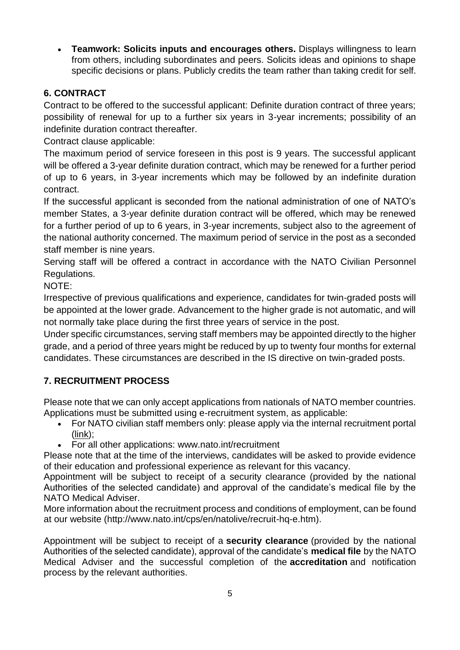**Teamwork: Solicits inputs and encourages others.** Displays willingness to learn from others, including subordinates and peers. Solicits ideas and opinions to shape specific decisions or plans. Publicly credits the team rather than taking credit for self.

# **6. CONTRACT**

Contract to be offered to the successful applicant: Definite duration contract of three years; possibility of renewal for up to a further six years in 3-year increments; possibility of an indefinite duration contract thereafter.

Contract clause applicable:

The maximum period of service foreseen in this post is 9 years. The successful applicant will be offered a 3-year definite duration contract, which may be renewed for a further period of up to 6 years, in 3-year increments which may be followed by an indefinite duration contract.

If the successful applicant is seconded from the national administration of one of NATO's member States, a 3-year definite duration contract will be offered, which may be renewed for a further period of up to 6 years, in 3-year increments, subject also to the agreement of the national authority concerned. The maximum period of service in the post as a seconded staff member is nine years.

Serving staff will be offered a contract in accordance with the NATO Civilian Personnel Regulations.

NOTE:

Irrespective of previous qualifications and experience, candidates for twin-graded posts will be appointed at the lower grade. Advancement to the higher grade is not automatic, and will not normally take place during the first three years of service in the post.

Under specific circumstances, serving staff members may be appointed directly to the higher grade, and a period of three years might be reduced by up to twenty four months for external candidates. These circumstances are described in the IS directive on twin-graded posts.

# **7. RECRUITMENT PROCESS**

Please note that we can only accept applications from nationals of NATO member countries. Applications must be submitted using e-recruitment system, as applicable:

- For NATO civilian staff members only: please apply via the internal recruitment portal [\(link\)](https://nato.taleo.net/careersection/1/jobsearch.ftl?lang=en);
- For all other applications: www.nato.int/recruitment

Please note that at the time of the interviews, candidates will be asked to provide evidence of their education and professional experience as relevant for this vacancy.

Appointment will be subject to receipt of a security clearance (provided by the national Authorities of the selected candidate) and approval of the candidate's medical file by the NATO Medical Adviser.

More information about the recruitment process and conditions of employment, can be found at our website (http://www.nato.int/cps/en/natolive/recruit-hq-e.htm).

Appointment will be subject to receipt of a **security clearance** (provided by the national Authorities of the selected candidate), approval of the candidate's **medical file** by the NATO Medical Adviser and the successful completion of the **accreditation** and notification process by the relevant authorities.